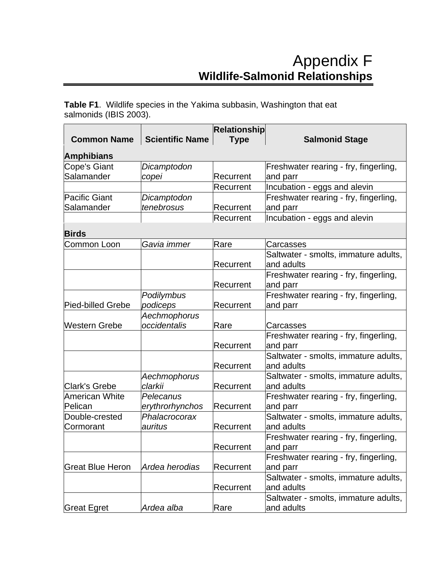## **Table F1**. Wildlife species in the Yakima subbasin, Washington that eat salmonids (IBIS 2003).

|                       |                        | <b>Relationship</b> |                                       |
|-----------------------|------------------------|---------------------|---------------------------------------|
| <b>Common Name</b>    | <b>Scientific Name</b> | <b>Type</b>         | <b>Salmonid Stage</b>                 |
| <b>Amphibians</b>     |                        |                     |                                       |
| Cope's Giant          | Dicamptodon            |                     | Freshwater rearing - fry, fingerling, |
| Salamander            | copei                  | Recurrent           | and parr                              |
|                       |                        | Recurrent           | Incubation - eggs and alevin          |
| Pacific Giant         | Dicamptodon            |                     | Freshwater rearing - fry, fingerling, |
| Salamander            | tenebrosus             | Recurrent           | and parr                              |
|                       |                        | Recurrent           | Incubation - eggs and alevin          |
| <b>Birds</b>          |                        |                     |                                       |
| Common Loon           | Gavia immer            | Rare                | Carcasses                             |
|                       |                        |                     | Saltwater - smolts, immature adults,  |
|                       |                        | Recurrent           | and adults                            |
|                       |                        |                     | Freshwater rearing - fry, fingerling, |
|                       |                        | Recurrent           | and parr                              |
|                       | Podilymbus             |                     | Freshwater rearing - fry, fingerling, |
| Pied-billed Grebe     | podiceps               | Recurrent           | and parr                              |
|                       | Aechmophorus           |                     |                                       |
| Western Grebe         | occidentalis           | Rare                | Carcasses                             |
|                       |                        |                     | Freshwater rearing - fry, fingerling, |
|                       |                        | Recurrent           | and parr                              |
|                       |                        |                     | Saltwater - smolts, immature adults,  |
|                       |                        | Recurrent           | and adults                            |
|                       | Aechmophorus           |                     | Saltwater - smolts, immature adults,  |
| <b>Clark's Grebe</b>  | clarkii                | Recurrent           | and adults                            |
| <b>American White</b> | Pelecanus              |                     | Freshwater rearing - fry, fingerling, |
| Pelican               | erythrorhynchos        | Recurrent           | and parr                              |
| Double-crested        | Phalacrocorax          |                     | Saltwater - smolts, immature adults,  |
| Cormorant             | auritus                | Recurrent           | and adults                            |
|                       |                        |                     | Freshwater rearing - fry, fingerling, |
|                       |                        | Recurrent           | and parr                              |
|                       |                        |                     | Freshwater rearing - fry, fingerling, |
| Great Blue Heron      | Ardea herodias         | Recurrent           | and parr                              |
|                       |                        |                     | Saltwater - smolts, immature adults,  |
|                       |                        | Recurrent           | and adults                            |
|                       |                        |                     | Saltwater - smolts, immature adults,  |
| <b>Great Egret</b>    | Ardea alba             | Rare                | and adults                            |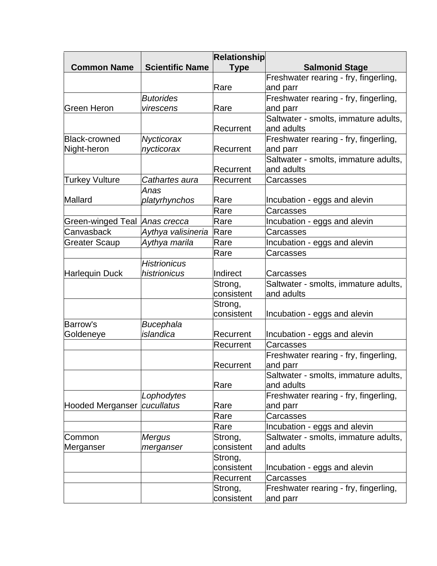|                       |                        | <b>Relationship</b>   |                                                    |
|-----------------------|------------------------|-----------------------|----------------------------------------------------|
| <b>Common Name</b>    | <b>Scientific Name</b> | <b>Type</b>           | <b>Salmonid Stage</b>                              |
|                       |                        |                       | Freshwater rearing - fry, fingerling,              |
|                       |                        | Rare                  | and parr                                           |
|                       | <b>Butorides</b>       |                       | Freshwater rearing - fry, fingerling,              |
| Green Heron           | virescens              | Rare                  | and parr                                           |
|                       |                        |                       | Saltwater - smolts, immature adults,               |
|                       |                        | Recurrent             | and adults                                         |
| Black-crowned         | Nycticorax             |                       | Freshwater rearing - fry, fingerling,              |
| Night-heron           | nycticorax             | Recurrent             | and parr                                           |
|                       |                        |                       | Saltwater - smolts, immature adults,               |
|                       |                        | Recurrent             | and adults                                         |
| <b>Turkey Vulture</b> | Cathartes aura         | Recurrent             | Carcasses                                          |
|                       | Anas                   |                       |                                                    |
| Mallard               | platyrhynchos          | Rare                  | Incubation - eggs and alevin                       |
|                       |                        | Rare                  | Carcasses                                          |
| Green-winged Teal     | Anas crecca            | Rare                  | Incubation - eggs and alevin                       |
| Canvasback            | Aythya valisineria     | Rare                  | Carcasses                                          |
| <b>Greater Scaup</b>  | Aythya marila          | Rare                  | Incubation - eggs and alevin                       |
|                       |                        | Rare                  | Carcasses                                          |
|                       | <b>Histrionicus</b>    |                       |                                                    |
| <b>Harlequin Duck</b> | histrionicus           | Indirect              | Carcasses                                          |
|                       |                        | Strong,               | Saltwater - smolts, immature adults,               |
|                       |                        | consistent            | and adults                                         |
|                       |                        | Strong,               |                                                    |
|                       |                        | consistent            | Incubation - eggs and alevin                       |
| <b>Barrow's</b>       | <b>Bucephala</b>       |                       |                                                    |
| Goldeneye             | islandica              | Recurrent             | Incubation - eggs and alevin                       |
|                       |                        | Recurrent             | Carcasses                                          |
|                       |                        |                       | Freshwater rearing - fry, fingerling,              |
|                       |                        | Recurrent             | and parr                                           |
|                       |                        |                       | Saltwater - smolts, immature adults,               |
|                       |                        | Rare                  | and adults                                         |
|                       | Lophodytes             |                       | Freshwater rearing - fry, fingerling,              |
| Hooded Merganser      | cucullatus             | Rare                  | and parr                                           |
|                       |                        | Rare                  | Carcasses                                          |
|                       |                        | Rare                  |                                                    |
|                       |                        |                       | Incubation - eggs and alevin                       |
| Common                | <b>Mergus</b>          | Strong,<br>consistent | Saltwater - smolts, immature adults,<br>and adults |
| Merganser             | merganser              |                       |                                                    |
|                       |                        | Strong,               |                                                    |
|                       |                        | consistent            | Incubation - eggs and alevin                       |
|                       |                        | Recurrent             | Carcasses                                          |
|                       |                        | Strong,               | Freshwater rearing - fry, fingerling,              |
|                       |                        | consistent            | and parr                                           |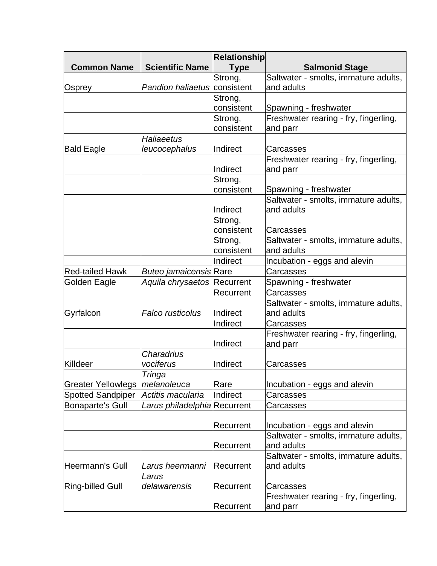|                           |                               | <b>Relationship</b> |                                       |
|---------------------------|-------------------------------|---------------------|---------------------------------------|
| <b>Common Name</b>        | <b>Scientific Name</b>        | <b>Type</b>         | <b>Salmonid Stage</b>                 |
|                           |                               | Strong,             | Saltwater - smolts, immature adults,  |
| Osprey                    | <b>Pandion haliaetus</b>      | consistent          | and adults                            |
|                           |                               | Strong,             |                                       |
|                           |                               | consistent          | Spawning - freshwater                 |
|                           |                               | Strong,             | Freshwater rearing - fry, fingerling, |
|                           |                               | consistent          | and parr                              |
|                           | <b>Haliaeetus</b>             |                     |                                       |
| <b>Bald Eagle</b>         | leucocephalus                 | Indirect            | Carcasses                             |
|                           |                               |                     | Freshwater rearing - fry, fingerling, |
|                           |                               | Indirect            | and parr                              |
|                           |                               | Strong,             |                                       |
|                           |                               | consistent          | Spawning - freshwater                 |
|                           |                               |                     | Saltwater - smolts, immature adults,  |
|                           |                               | Indirect            | and adults                            |
|                           |                               | Strong,             |                                       |
|                           |                               | consistent          | Carcasses                             |
|                           |                               | Strong,             | Saltwater - smolts, immature adults,  |
|                           |                               | consistent          | and adults                            |
|                           |                               | Indirect            | Incubation - eggs and alevin          |
| <b>Red-tailed Hawk</b>    | <b>Buteo jamaicensis Rare</b> |                     | Carcasses                             |
| Golden Eagle              | Aquila chrysaetos             | Recurrent           | Spawning - freshwater                 |
|                           |                               | Recurrent           | Carcasses                             |
|                           |                               |                     | Saltwater - smolts, immature adults,  |
| Gyrfalcon                 | Falco rusticolus              | Indirect            | and adults                            |
|                           |                               | Indirect            | Carcasses                             |
|                           |                               |                     | Freshwater rearing - fry, fingerling, |
|                           |                               | Indirect            | and parr                              |
|                           | <b>Charadrius</b>             |                     |                                       |
| Killdeer                  | vociferus                     | Indirect            | Carcasses                             |
|                           | Tringa                        |                     |                                       |
| <b>Greater Yellowlegs</b> | melanoleuca                   | Rare                | Incubation - eggs and alevin          |
| <b>Spotted Sandpiper</b>  | Actitis macularia             | Indirect            | Carcasses                             |
| <b>Bonaparte's Gull</b>   | Larus philadelphia Recurrent  |                     | Carcasses                             |
|                           |                               |                     |                                       |
|                           |                               | Recurrent           | Incubation - eggs and alevin          |
|                           |                               |                     | Saltwater - smolts, immature adults,  |
|                           |                               | Recurrent           | and adults                            |
|                           |                               |                     | Saltwater - smolts, immature adults,  |
| Heermann's Gull           | Larus heermanni               | Recurrent           | and adults                            |
|                           | Larus                         |                     |                                       |
| <b>Ring-billed Gull</b>   | delawarensis                  | Recurrent           | Carcasses                             |
|                           |                               |                     | Freshwater rearing - fry, fingerling, |
|                           |                               | Recurrent           | and parr                              |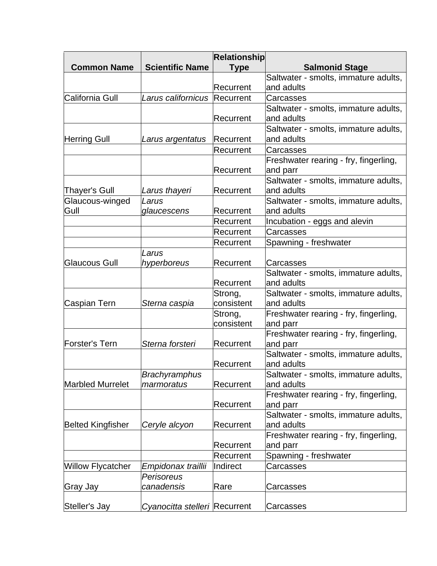|                          |                               | <b>Relationship</b> |                                       |
|--------------------------|-------------------------------|---------------------|---------------------------------------|
| <b>Common Name</b>       | <b>Scientific Name</b>        | <b>Type</b>         | <b>Salmonid Stage</b>                 |
|                          |                               |                     | Saltwater - smolts, immature adults,  |
|                          |                               | Recurrent           | and adults                            |
| California Gull          | Larus californicus            | Recurrent           | Carcasses                             |
|                          |                               |                     | Saltwater - smolts, immature adults,  |
|                          |                               | Recurrent           | and adults                            |
|                          |                               |                     | Saltwater - smolts, immature adults,  |
| <b>Herring Gull</b>      | Larus argentatus              | Recurrent           | and adults                            |
|                          |                               | Recurrent           | Carcasses                             |
|                          |                               |                     | Freshwater rearing - fry, fingerling, |
|                          |                               | Recurrent           | and parr                              |
|                          |                               |                     | Saltwater - smolts, immature adults,  |
| Thayer's Gull            | Larus thayeri                 | Recurrent           | and adults                            |
| Glaucous-winged          | Larus                         |                     | Saltwater - smolts, immature adults,  |
| Gull                     | glaucescens                   | Recurrent           | and adults                            |
|                          |                               | Recurrent           | Incubation - eggs and alevin          |
|                          |                               | Recurrent           | Carcasses                             |
|                          |                               | Recurrent           | Spawning - freshwater                 |
|                          | Larus                         |                     |                                       |
| Glaucous Gull            | hyperboreus                   | Recurrent           | Carcasses                             |
|                          |                               |                     | Saltwater - smolts, immature adults,  |
|                          |                               | Recurrent           | and adults                            |
|                          |                               | Strong,             | Saltwater - smolts, immature adults,  |
| Caspian Tern             | Sterna caspia                 | consistent          | and adults                            |
|                          |                               | Strong,             | Freshwater rearing - fry, fingerling, |
|                          |                               | consistent          | and parr                              |
|                          |                               |                     | Freshwater rearing - fry, fingerling, |
| Forster's Tern           | Sterna forsteri               | Recurrent           | and parr                              |
|                          |                               |                     | Saltwater - smolts, immature adults,  |
|                          |                               | Recurrent           | and adults                            |
|                          | <b>Brachyramphus</b>          |                     | Saltwater - smolts, immature adults,  |
| <b>Marbled Murrelet</b>  | marmoratus                    | Recurrent           | and adults                            |
|                          |                               |                     | Freshwater rearing - fry, fingerling, |
|                          |                               | Recurrent           | and parr                              |
|                          |                               |                     | Saltwater - smolts, immature adults,  |
| Belted Kingfisher        | Ceryle alcyon                 | Recurrent           | and adults                            |
|                          |                               |                     | Freshwater rearing - fry, fingerling, |
|                          |                               | Recurrent           | and parr                              |
|                          |                               | Recurrent           | Spawning - freshwater                 |
| <b>Willow Flycatcher</b> | Empidonax traillii            | Indirect            | Carcasses                             |
|                          | Perisoreus                    |                     |                                       |
| Gray Jay                 | canadensis                    | Rare                | Carcasses                             |
|                          |                               |                     |                                       |
| Steller's Jay            | Cyanocitta stelleri Recurrent |                     | Carcasses                             |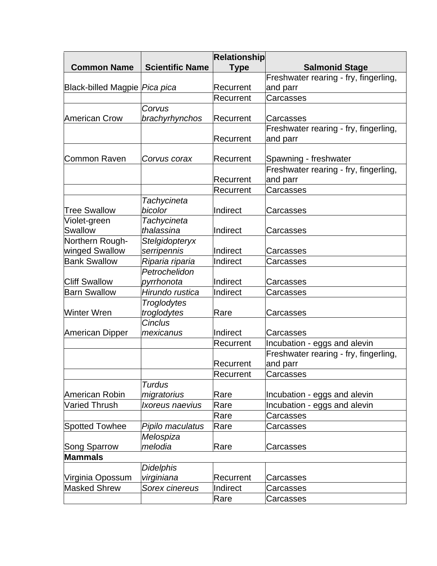|                                 |                        | <b>Relationship</b> |                                       |
|---------------------------------|------------------------|---------------------|---------------------------------------|
| <b>Common Name</b>              | <b>Scientific Name</b> | <b>Type</b>         | <b>Salmonid Stage</b>                 |
|                                 |                        |                     | Freshwater rearing - fry, fingerling, |
| Black-billed Magpie   Pica pica |                        | Recurrent           | and parr                              |
|                                 |                        | Recurrent           | Carcasses                             |
|                                 | Corvus                 |                     |                                       |
| <b>American Crow</b>            | brachyrhynchos         | Recurrent           | Carcasses                             |
|                                 |                        |                     | Freshwater rearing - fry, fingerling, |
|                                 |                        | Recurrent           | and parr                              |
|                                 |                        |                     |                                       |
| Common Raven                    | Corvus corax           | Recurrent           | Spawning - freshwater                 |
|                                 |                        |                     | Freshwater rearing - fry, fingerling, |
|                                 |                        | Recurrent           | and parr                              |
|                                 |                        | Recurrent           | Carcasses                             |
|                                 | Tachycineta            |                     |                                       |
| <b>Tree Swallow</b>             | bicolor                | Indirect            | Carcasses                             |
| Violet-green                    | <b>Tachycineta</b>     |                     |                                       |
| Swallow                         | thalassina             | Indirect            | Carcasses                             |
| Northern Rough-                 | Stelgidopteryx         |                     |                                       |
| winged Swallow                  | serripennis            | Indirect            | Carcasses                             |
| <b>Bank Swallow</b>             | Riparia riparia        | Indirect            | Carcasses                             |
|                                 | Petrochelidon          |                     |                                       |
| <b>Cliff Swallow</b>            | pyrrhonota             | Indirect            | Carcasses                             |
| <b>Barn Swallow</b>             | Hirundo rustica        | Indirect            | Carcasses                             |
|                                 | Troglodytes            |                     |                                       |
| <b>Winter Wren</b>              | troglodytes            | Rare                | Carcasses                             |
|                                 | <b>Cinclus</b>         |                     |                                       |
| <b>American Dipper</b>          | mexicanus              | Indirect            | Carcasses                             |
|                                 |                        | Recurrent           | Incubation - eggs and alevin          |
|                                 |                        |                     | Freshwater rearing - fry, fingerling, |
|                                 |                        | Recurrent           | and parr                              |
|                                 |                        | Recurrent           | Carcasses                             |
|                                 | Turdus                 |                     |                                       |
| American Robin                  | migratorius            | Rare                | Incubation - eggs and alevin          |
| <b>Varied Thrush</b>            | Ixoreus naevius        | Rare                | Incubation - eggs and alevin          |
|                                 |                        | Rare                | Carcasses                             |
| <b>Spotted Towhee</b>           | Pipilo maculatus       | Rare                | Carcasses                             |
|                                 | Melospiza              |                     |                                       |
| <b>Song Sparrow</b>             | melodia                | Rare                | Carcasses                             |
| <b>Mammals</b>                  |                        |                     |                                       |
|                                 | <b>Didelphis</b>       |                     |                                       |
| Virginia Opossum                | virginiana             | Recurrent           | Carcasses                             |
| <b>Masked Shrew</b>             | Sorex cinereus         | Indirect            | Carcasses                             |
|                                 |                        | Rare                | Carcasses                             |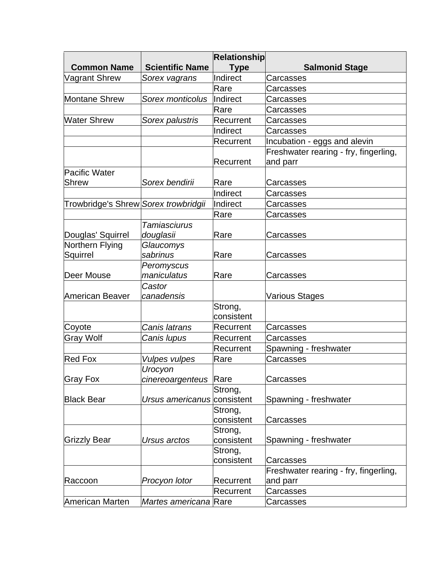|                                      |                             | <b>Relationship</b> |                                       |
|--------------------------------------|-----------------------------|---------------------|---------------------------------------|
| <b>Common Name</b>                   | <b>Scientific Name</b>      | <b>Type</b>         | <b>Salmonid Stage</b>                 |
| Vagrant Shrew                        | Sorex vagrans               | Indirect            | Carcasses                             |
|                                      |                             | Rare                | Carcasses                             |
| <b>Montane Shrew</b>                 | Sorex monticolus            | Indirect            | Carcasses                             |
|                                      |                             | Rare                | Carcasses                             |
| <b>Water Shrew</b>                   | Sorex palustris             | Recurrent           | Carcasses                             |
|                                      |                             | Indirect            | Carcasses                             |
|                                      |                             | Recurrent           | Incubation - eggs and alevin          |
|                                      |                             |                     | Freshwater rearing - fry, fingerling, |
|                                      |                             | Recurrent           | and parr                              |
| <b>Pacific Water</b>                 |                             |                     |                                       |
| <b>Shrew</b>                         | Sorex bendirii              | Rare                | Carcasses                             |
|                                      |                             | Indirect            | Carcasses                             |
| Trowbridge's Shrew Sorex trowbridgii |                             | Indirect            | Carcasses                             |
|                                      |                             | Rare                | Carcasses                             |
|                                      | <b>Tamiasciurus</b>         |                     |                                       |
| Douglas' Squirrel                    | douglasii                   | Rare                | Carcasses                             |
| Northern Flying                      | Glaucomys                   |                     |                                       |
| Squirrel                             | sabrinus                    | Rare                | Carcasses                             |
|                                      | Peromyscus                  |                     |                                       |
| Deer Mouse                           | maniculatus                 | Rare                | Carcasses                             |
|                                      | Castor                      |                     |                                       |
| American Beaver                      | canadensis                  |                     | <b>Various Stages</b>                 |
|                                      |                             | Strong,             |                                       |
|                                      |                             | consistent          |                                       |
| Coyote                               | Canis latrans               | Recurrent           | Carcasses                             |
| <b>Gray Wolf</b>                     | Canis Iupus                 | Recurrent           | Carcasses                             |
|                                      |                             | Recurrent           | Spawning - freshwater                 |
| <b>Red Fox</b>                       | <b>Vulpes vulpes</b>        | Rare                | Carcasses                             |
|                                      | Urocyon                     |                     |                                       |
| Gray Fox                             | cinereoargenteus            | Rare                | Carcasses                             |
|                                      |                             | Strong,             |                                       |
| <b>Black Bear</b>                    | Ursus americanus consistent |                     | Spawning - freshwater                 |
|                                      |                             | Strong,             |                                       |
|                                      |                             | consistent          | Carcasses                             |
|                                      |                             | Strong,             |                                       |
| Grizzly Bear                         | Ursus arctos                | consistent          | Spawning - freshwater                 |
|                                      |                             | Strong,             |                                       |
|                                      |                             | consistent          | Carcasses                             |
|                                      |                             |                     | Freshwater rearing - fry, fingerling, |
| Raccoon                              | Procyon lotor               | Recurrent           | and parr                              |
|                                      |                             | Recurrent           | Carcasses                             |
| American Marten                      | Martes americana            | Rare                | Carcasses                             |